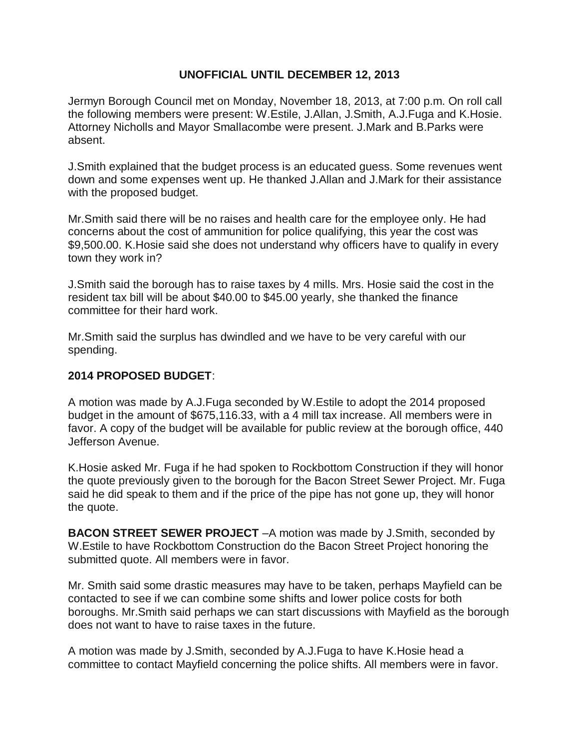## **UNOFFICIAL UNTIL DECEMBER 12, 2013**

Jermyn Borough Council met on Monday, November 18, 2013, at 7:00 p.m. On roll call the following members were present: W.Estile, J.Allan, J.Smith, A.J.Fuga and K.Hosie. Attorney Nicholls and Mayor Smallacombe were present. J.Mark and B.Parks were absent.

J.Smith explained that the budget process is an educated guess. Some revenues went down and some expenses went up. He thanked J.Allan and J.Mark for their assistance with the proposed budget.

Mr.Smith said there will be no raises and health care for the employee only. He had concerns about the cost of ammunition for police qualifying, this year the cost was \$9,500.00. K.Hosie said she does not understand why officers have to qualify in every town they work in?

J.Smith said the borough has to raise taxes by 4 mills. Mrs. Hosie said the cost in the resident tax bill will be about \$40.00 to \$45.00 yearly, she thanked the finance committee for their hard work.

Mr.Smith said the surplus has dwindled and we have to be very careful with our spending.

## **2014 PROPOSED BUDGET**:

A motion was made by A.J.Fuga seconded by W.Estile to adopt the 2014 proposed budget in the amount of \$675,116.33, with a 4 mill tax increase. All members were in favor. A copy of the budget will be available for public review at the borough office, 440 Jefferson Avenue.

K.Hosie asked Mr. Fuga if he had spoken to Rockbottom Construction if they will honor the quote previously given to the borough for the Bacon Street Sewer Project. Mr. Fuga said he did speak to them and if the price of the pipe has not gone up, they will honor the quote.

**BACON STREET SEWER PROJECT** –A motion was made by J.Smith, seconded by W.Estile to have Rockbottom Construction do the Bacon Street Project honoring the submitted quote. All members were in favor.

Mr. Smith said some drastic measures may have to be taken, perhaps Mayfield can be contacted to see if we can combine some shifts and lower police costs for both boroughs. Mr.Smith said perhaps we can start discussions with Mayfield as the borough does not want to have to raise taxes in the future.

A motion was made by J.Smith, seconded by A.J.Fuga to have K.Hosie head a committee to contact Mayfield concerning the police shifts. All members were in favor.